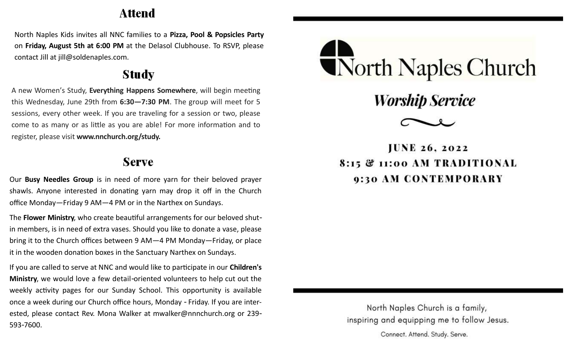## Attend

North Naples Kids invites all NNC families to a **Pizza, Pool & Popsicles Party**  on **Friday, August 5th at 6:00 PM** at the Delasol Clubhouse. To RSVP, please contact Jill at jill@soldenaples.com.

## **Study**

A new Women's Study, **Everything Happens Somewhere**, will begin meeting this Wednesday, June 29th from **6:30—7:30 PM**. The group will meet for 5 sessions, every other week. If you are traveling for a session or two, please come to as many or as little as you are able! For more information and to register, please visit **www.nnchurch.org/study.**

## **Serve**

Our **Busy Needles Group** is in need of more yarn for their beloved prayer shawls. Anyone interested in donating yarn may drop it off in the Church office Monday—Friday 9 AM—4 PM or in the Narthex on Sundays.

The **Flower Ministry**, who create beautiful arrangements for our beloved shutin members, is in need of extra vases. Should you like to donate a vase, please bring it to the Church offices between 9 AM—4 PM Monday—Friday, or place it in the wooden donation boxes in the Sanctuary Narthex on Sundays.

If you are called to serve at NNC and would like to participate in our **Children's Ministry**, we would love a few detail-oriented volunteers to help cut out the weekly activity pages for our Sunday School. This opportunity is available once a week during our Church office hours, Monday - Friday. If you are interested, please contact Rev. Mona Walker at mwalker@nnnchurch.org or 239- 593-7600.



**Worship Service** 



**IUNE 26. 2022** 8:15 & 11:00 AM TRADITIONAL 9:30 AM CONTEMPORARY

North Naples Church is a family, inspiring and equipping me to follow Jesus. Connect. Attend. Study. Serve.